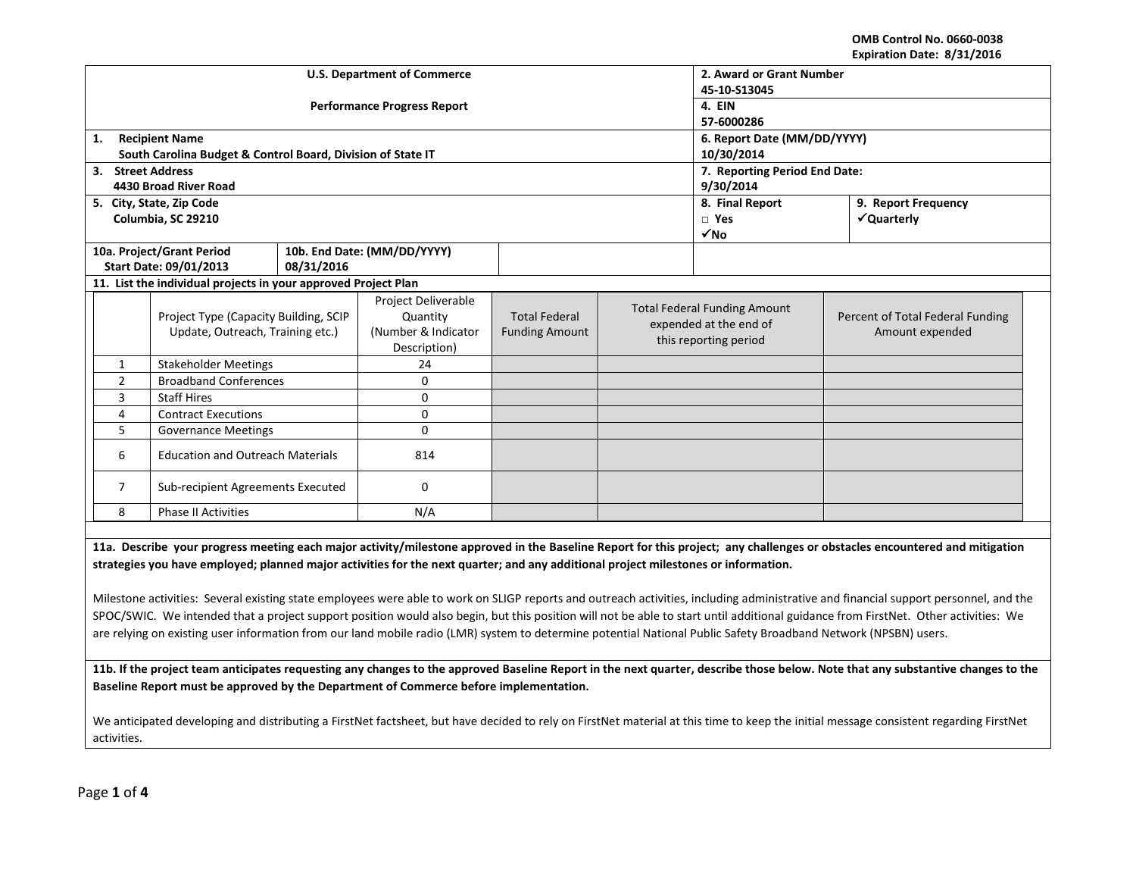**OMB Control No. 0660-0038 Expiration Date: 8/31/2016**

| <b>U.S. Department of Commerce</b><br>2. Award or Grant Number<br>45-10-S13045<br><b>Performance Progress Report</b><br>4. EIN<br>57-6000286<br><b>Recipient Name</b><br>6. Report Date (MM/DD/YYYY)<br>1.<br>10/30/2014<br>South Carolina Budget & Control Board, Division of State IT<br>7. Reporting Period End Date:<br>3. Street Address<br>4430 Broad River Road<br>9/30/2014<br>8. Final Report<br>9. Report Frequency<br>5. City, State, Zip Code<br>Columbia, SC 29210<br>$\Box$ Yes<br>√Quarterly<br>$\sqrt{NQ}$<br>10a. Project/Grant Period<br>10b. End Date: (MM/DD/YYYY)<br><b>Start Date: 09/01/2013</b><br>08/31/2016<br>11. List the individual projects in your approved Project Plan<br>Project Deliverable<br><b>Total Federal Funding Amount</b><br>Project Type (Capacity Building, SCIP<br><b>Total Federal</b><br>Quantity<br>Percent of Total Federal Funding<br>expended at the end of<br>Update, Outreach, Training etc.)<br>(Number & Indicator<br><b>Funding Amount</b><br>Amount expended<br>this reporting period<br>Description)<br><b>Stakeholder Meetings</b><br>24<br>1<br>$\mathbf 0$<br>$\overline{2}$<br><b>Broadband Conferences</b> |  |  |  |  |  |  |
|-----------------------------------------------------------------------------------------------------------------------------------------------------------------------------------------------------------------------------------------------------------------------------------------------------------------------------------------------------------------------------------------------------------------------------------------------------------------------------------------------------------------------------------------------------------------------------------------------------------------------------------------------------------------------------------------------------------------------------------------------------------------------------------------------------------------------------------------------------------------------------------------------------------------------------------------------------------------------------------------------------------------------------------------------------------------------------------------------------------------------------------------------------------------------------|--|--|--|--|--|--|
|                                                                                                                                                                                                                                                                                                                                                                                                                                                                                                                                                                                                                                                                                                                                                                                                                                                                                                                                                                                                                                                                                                                                                                             |  |  |  |  |  |  |
|                                                                                                                                                                                                                                                                                                                                                                                                                                                                                                                                                                                                                                                                                                                                                                                                                                                                                                                                                                                                                                                                                                                                                                             |  |  |  |  |  |  |
|                                                                                                                                                                                                                                                                                                                                                                                                                                                                                                                                                                                                                                                                                                                                                                                                                                                                                                                                                                                                                                                                                                                                                                             |  |  |  |  |  |  |
|                                                                                                                                                                                                                                                                                                                                                                                                                                                                                                                                                                                                                                                                                                                                                                                                                                                                                                                                                                                                                                                                                                                                                                             |  |  |  |  |  |  |
|                                                                                                                                                                                                                                                                                                                                                                                                                                                                                                                                                                                                                                                                                                                                                                                                                                                                                                                                                                                                                                                                                                                                                                             |  |  |  |  |  |  |
|                                                                                                                                                                                                                                                                                                                                                                                                                                                                                                                                                                                                                                                                                                                                                                                                                                                                                                                                                                                                                                                                                                                                                                             |  |  |  |  |  |  |
|                                                                                                                                                                                                                                                                                                                                                                                                                                                                                                                                                                                                                                                                                                                                                                                                                                                                                                                                                                                                                                                                                                                                                                             |  |  |  |  |  |  |
|                                                                                                                                                                                                                                                                                                                                                                                                                                                                                                                                                                                                                                                                                                                                                                                                                                                                                                                                                                                                                                                                                                                                                                             |  |  |  |  |  |  |
|                                                                                                                                                                                                                                                                                                                                                                                                                                                                                                                                                                                                                                                                                                                                                                                                                                                                                                                                                                                                                                                                                                                                                                             |  |  |  |  |  |  |
|                                                                                                                                                                                                                                                                                                                                                                                                                                                                                                                                                                                                                                                                                                                                                                                                                                                                                                                                                                                                                                                                                                                                                                             |  |  |  |  |  |  |
|                                                                                                                                                                                                                                                                                                                                                                                                                                                                                                                                                                                                                                                                                                                                                                                                                                                                                                                                                                                                                                                                                                                                                                             |  |  |  |  |  |  |
|                                                                                                                                                                                                                                                                                                                                                                                                                                                                                                                                                                                                                                                                                                                                                                                                                                                                                                                                                                                                                                                                                                                                                                             |  |  |  |  |  |  |
|                                                                                                                                                                                                                                                                                                                                                                                                                                                                                                                                                                                                                                                                                                                                                                                                                                                                                                                                                                                                                                                                                                                                                                             |  |  |  |  |  |  |
|                                                                                                                                                                                                                                                                                                                                                                                                                                                                                                                                                                                                                                                                                                                                                                                                                                                                                                                                                                                                                                                                                                                                                                             |  |  |  |  |  |  |
|                                                                                                                                                                                                                                                                                                                                                                                                                                                                                                                                                                                                                                                                                                                                                                                                                                                                                                                                                                                                                                                                                                                                                                             |  |  |  |  |  |  |
|                                                                                                                                                                                                                                                                                                                                                                                                                                                                                                                                                                                                                                                                                                                                                                                                                                                                                                                                                                                                                                                                                                                                                                             |  |  |  |  |  |  |
|                                                                                                                                                                                                                                                                                                                                                                                                                                                                                                                                                                                                                                                                                                                                                                                                                                                                                                                                                                                                                                                                                                                                                                             |  |  |  |  |  |  |
|                                                                                                                                                                                                                                                                                                                                                                                                                                                                                                                                                                                                                                                                                                                                                                                                                                                                                                                                                                                                                                                                                                                                                                             |  |  |  |  |  |  |
|                                                                                                                                                                                                                                                                                                                                                                                                                                                                                                                                                                                                                                                                                                                                                                                                                                                                                                                                                                                                                                                                                                                                                                             |  |  |  |  |  |  |
| <b>Staff Hires</b><br>$\Omega$<br>3                                                                                                                                                                                                                                                                                                                                                                                                                                                                                                                                                                                                                                                                                                                                                                                                                                                                                                                                                                                                                                                                                                                                         |  |  |  |  |  |  |
| $\mathbf 0$<br>$\overline{4}$<br><b>Contract Executions</b>                                                                                                                                                                                                                                                                                                                                                                                                                                                                                                                                                                                                                                                                                                                                                                                                                                                                                                                                                                                                                                                                                                                 |  |  |  |  |  |  |
| 5<br>$\mathbf 0$<br><b>Governance Meetings</b>                                                                                                                                                                                                                                                                                                                                                                                                                                                                                                                                                                                                                                                                                                                                                                                                                                                                                                                                                                                                                                                                                                                              |  |  |  |  |  |  |
|                                                                                                                                                                                                                                                                                                                                                                                                                                                                                                                                                                                                                                                                                                                                                                                                                                                                                                                                                                                                                                                                                                                                                                             |  |  |  |  |  |  |
| 6<br><b>Education and Outreach Materials</b><br>814                                                                                                                                                                                                                                                                                                                                                                                                                                                                                                                                                                                                                                                                                                                                                                                                                                                                                                                                                                                                                                                                                                                         |  |  |  |  |  |  |
|                                                                                                                                                                                                                                                                                                                                                                                                                                                                                                                                                                                                                                                                                                                                                                                                                                                                                                                                                                                                                                                                                                                                                                             |  |  |  |  |  |  |
| $\overline{7}$<br>$\mathbf 0$<br>Sub-recipient Agreements Executed                                                                                                                                                                                                                                                                                                                                                                                                                                                                                                                                                                                                                                                                                                                                                                                                                                                                                                                                                                                                                                                                                                          |  |  |  |  |  |  |
| 8<br>Phase II Activities<br>N/A                                                                                                                                                                                                                                                                                                                                                                                                                                                                                                                                                                                                                                                                                                                                                                                                                                                                                                                                                                                                                                                                                                                                             |  |  |  |  |  |  |
|                                                                                                                                                                                                                                                                                                                                                                                                                                                                                                                                                                                                                                                                                                                                                                                                                                                                                                                                                                                                                                                                                                                                                                             |  |  |  |  |  |  |
| 11a. Describe your progress meeting each major activity/milestone approved in the Baseline Report for this project; any challenges or obstacles encountered and mitigation                                                                                                                                                                                                                                                                                                                                                                                                                                                                                                                                                                                                                                                                                                                                                                                                                                                                                                                                                                                                  |  |  |  |  |  |  |
| strategies you have employed; planned major activities for the next quarter; and any additional project milestones or information.                                                                                                                                                                                                                                                                                                                                                                                                                                                                                                                                                                                                                                                                                                                                                                                                                                                                                                                                                                                                                                          |  |  |  |  |  |  |
|                                                                                                                                                                                                                                                                                                                                                                                                                                                                                                                                                                                                                                                                                                                                                                                                                                                                                                                                                                                                                                                                                                                                                                             |  |  |  |  |  |  |
| Milestone activities: Several existing state employees were able to work on SLIGP reports and outreach activities, including administrative and financial support personnel, and the                                                                                                                                                                                                                                                                                                                                                                                                                                                                                                                                                                                                                                                                                                                                                                                                                                                                                                                                                                                        |  |  |  |  |  |  |
| SPOC/SWIC. We intended that a project support position would also begin, but this position will not be able to start until additional guidance from FirstNet. Other activities: We                                                                                                                                                                                                                                                                                                                                                                                                                                                                                                                                                                                                                                                                                                                                                                                                                                                                                                                                                                                          |  |  |  |  |  |  |
| are relying on existing user information from our land mobile radio (LMR) system to determine potential National Public Safety Broadband Network (NPSBN) users.                                                                                                                                                                                                                                                                                                                                                                                                                                                                                                                                                                                                                                                                                                                                                                                                                                                                                                                                                                                                             |  |  |  |  |  |  |
|                                                                                                                                                                                                                                                                                                                                                                                                                                                                                                                                                                                                                                                                                                                                                                                                                                                                                                                                                                                                                                                                                                                                                                             |  |  |  |  |  |  |
| 11b. If the project team anticipates requesting any changes to the approved Baseline Report in the next quarter, describe those below. Note that any substantive changes to the                                                                                                                                                                                                                                                                                                                                                                                                                                                                                                                                                                                                                                                                                                                                                                                                                                                                                                                                                                                             |  |  |  |  |  |  |
| Baseline Report must be approved by the Department of Commerce before implementation.                                                                                                                                                                                                                                                                                                                                                                                                                                                                                                                                                                                                                                                                                                                                                                                                                                                                                                                                                                                                                                                                                       |  |  |  |  |  |  |
|                                                                                                                                                                                                                                                                                                                                                                                                                                                                                                                                                                                                                                                                                                                                                                                                                                                                                                                                                                                                                                                                                                                                                                             |  |  |  |  |  |  |
| We anticipated developing and distributing a FirstNet factsheet, but have decided to rely on FirstNet material at this time to keep the initial message consistent regarding FirstNet                                                                                                                                                                                                                                                                                                                                                                                                                                                                                                                                                                                                                                                                                                                                                                                                                                                                                                                                                                                       |  |  |  |  |  |  |
| activities.                                                                                                                                                                                                                                                                                                                                                                                                                                                                                                                                                                                                                                                                                                                                                                                                                                                                                                                                                                                                                                                                                                                                                                 |  |  |  |  |  |  |
|                                                                                                                                                                                                                                                                                                                                                                                                                                                                                                                                                                                                                                                                                                                                                                                                                                                                                                                                                                                                                                                                                                                                                                             |  |  |  |  |  |  |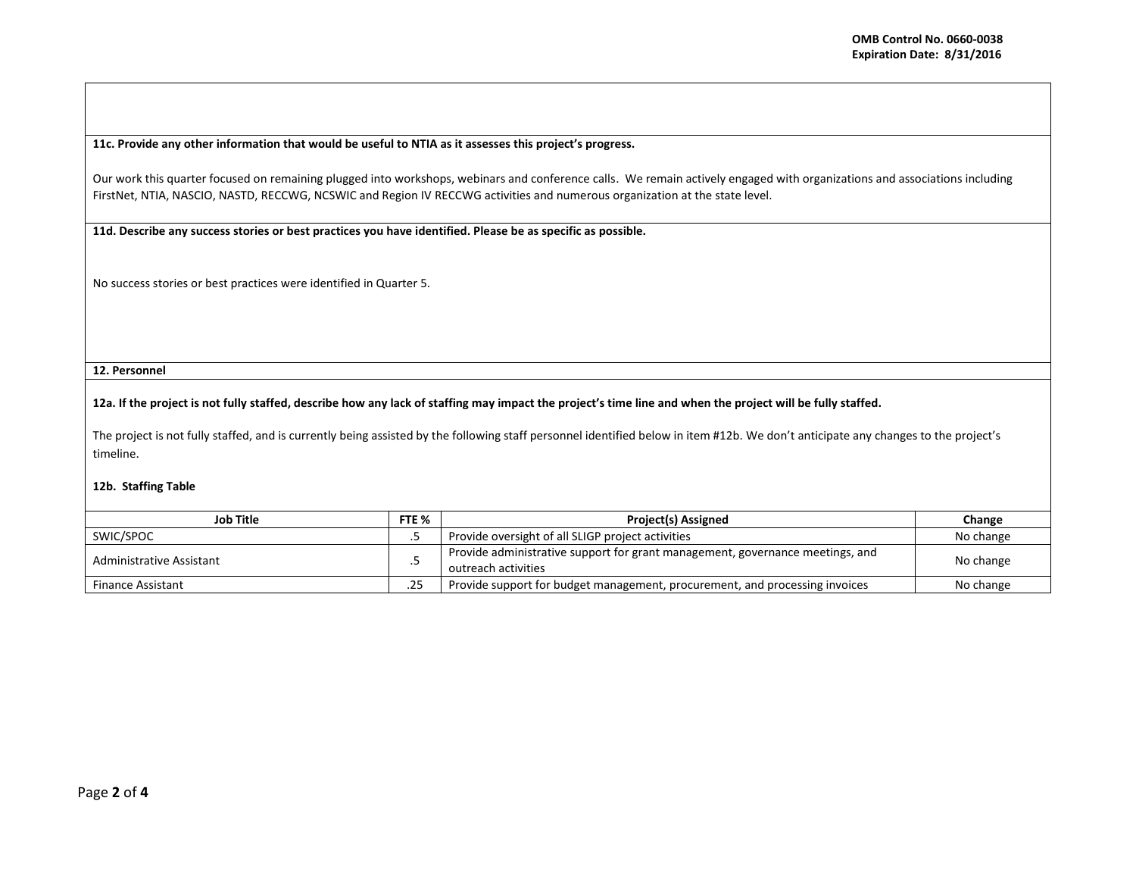**11c. Provide any other information that would be useful to NTIA as it assesses this project's progress.** 

Our work this quarter focused on remaining plugged into workshops, webinars and conference calls. We remain actively engaged with organizations and associations including FirstNet, NTIA, NASCIO, NASTD, RECCWG, NCSWIC and Region IV RECCWG activities and numerous organization at the state level.

**11d. Describe any success stories or best practices you have identified. Please be as specific as possible.**

No success stories or best practices were identified in Quarter 5.

**12. Personnel** 

**12a. If the project is not fully staffed, describe how any lack of staffing may impact the project's time line and when the project will be fully staffed.**

The project is not fully staffed, and is currently being assisted by the following staff personnel identified below in item #12b. We don't anticipate any changes to the project's timeline.

## **12b. Staffing Table**

| Job Title<br>FTE %                      |  | <b>Project(s) Assigned</b>                                                                           | Change    |
|-----------------------------------------|--|------------------------------------------------------------------------------------------------------|-----------|
| SWIC/SPOC                               |  | Provide oversight of all SLIGP project activities                                                    | No change |
| Administrative Assistant                |  | Provide administrative support for grant management, governance meetings, and<br>outreach activities | No change |
| つに<br><b>Finance Assistant</b><br>ـ ـ ـ |  | Provide support for budget management, procurement, and processing invoices                          | No change |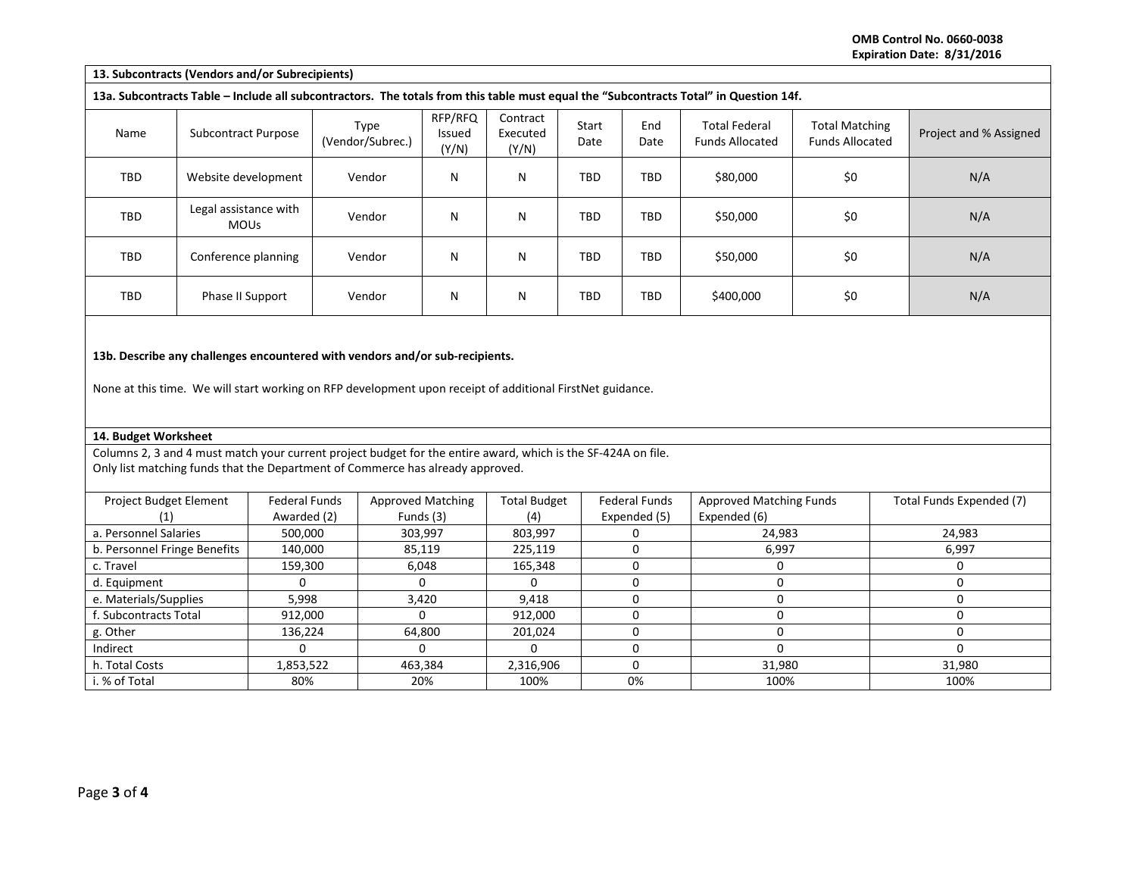**OMB Control No. 0660-0038 Expiration Date: 8/31/2016**

| 13. Subcontracts (Vendors and/or Subrecipients)                                                                                                                                                 |                                         |           |                                       |                            |                               |                                      |                                         |                                                |                                                 |                        |
|-------------------------------------------------------------------------------------------------------------------------------------------------------------------------------------------------|-----------------------------------------|-----------|---------------------------------------|----------------------------|-------------------------------|--------------------------------------|-----------------------------------------|------------------------------------------------|-------------------------------------------------|------------------------|
| 13a. Subcontracts Table - Include all subcontractors. The totals from this table must equal the "Subcontracts Total" in Question 14f.                                                           |                                         |           |                                       |                            |                               |                                      |                                         |                                                |                                                 |                        |
| Name                                                                                                                                                                                            | <b>Subcontract Purpose</b>              |           | Type<br>(Vendor/Subrec.)              | RFP/RFQ<br>Issued<br>(Y/N) | Contract<br>Executed<br>(Y/N) | Start<br>Date                        | End<br>Date                             | <b>Total Federal</b><br><b>Funds Allocated</b> | <b>Total Matching</b><br><b>Funds Allocated</b> | Project and % Assigned |
| TBD                                                                                                                                                                                             | Website development                     |           | Vendor                                | N                          | N                             | <b>TBD</b>                           | <b>TBD</b>                              | \$80,000                                       | \$0                                             | N/A                    |
| TBD                                                                                                                                                                                             | Legal assistance with<br><b>MOUs</b>    |           | Vendor                                | $\mathsf{N}$               | N                             | <b>TBD</b>                           | <b>TBD</b>                              | \$50,000                                       | \$0                                             | N/A                    |
| TBD                                                                                                                                                                                             | Conference planning                     |           | Vendor                                | $\mathsf{N}$               | N                             | TBD                                  | <b>TBD</b>                              | \$50,000                                       | \$0                                             | N/A                    |
| <b>TBD</b>                                                                                                                                                                                      | Phase II Support                        |           | Vendor                                | N                          | N                             | <b>TBD</b>                           | <b>TBD</b>                              | \$400,000                                      | \$0                                             | N/A                    |
| None at this time. We will start working on RFP development upon receipt of additional FirstNet guidance.<br>14. Budget Worksheet                                                               |                                         |           |                                       |                            |                               |                                      |                                         |                                                |                                                 |                        |
| Columns 2, 3 and 4 must match your current project budget for the entire award, which is the SF-424A on file.<br>Only list matching funds that the Department of Commerce has already approved. |                                         |           |                                       |                            |                               |                                      |                                         |                                                |                                                 |                        |
|                                                                                                                                                                                                 |                                         |           |                                       |                            |                               |                                      |                                         |                                                |                                                 |                        |
| <b>Federal Funds</b><br>Project Budget Element<br>Awarded (2)<br>(1)                                                                                                                            |                                         |           | <b>Approved Matching</b><br>Funds (3) |                            | <b>Total Budget</b>           | <b>Federal Funds</b><br>Expended (5) | Approved Matching Funds<br>Expended (6) |                                                | Total Funds Expended (7)                        |                        |
| a. Personnel Salaries<br>500,000                                                                                                                                                                |                                         |           | 303,997                               |                            |                               | 0                                    | 24,983                                  |                                                | 24,983                                          |                        |
|                                                                                                                                                                                                 | b. Personnel Fringe Benefits<br>140,000 |           |                                       | 85,119                     |                               |                                      | $\mathbf 0$                             | 6,997                                          |                                                 | 6,997                  |
| c. Travel<br>159,300                                                                                                                                                                            |                                         |           | 6,048                                 |                            |                               | 0                                    | 0                                       |                                                | 0                                               |                        |
| d. Equipment                                                                                                                                                                                    | 0                                       |           |                                       | 0                          |                               |                                      | $\mathbf 0$                             | $\mathbf{0}$                                   |                                                 | 0                      |
| e. Materials/Supplies<br>5,998                                                                                                                                                                  |                                         |           | 3,420                                 |                            |                               | $\mathbf 0$                          | $\mathbf{0}$                            |                                                | $\mathbf 0$                                     |                        |
| f. Subcontracts Total<br>912,000                                                                                                                                                                |                                         |           | $\Omega$                              |                            |                               | $\mathbf 0$                          | $\mathbf 0$                             |                                                | 0                                               |                        |
| 136,224<br>g. Other                                                                                                                                                                             |                                         |           | 64,800                                |                            |                               | 0                                    | $\mathbf 0$                             |                                                | $\mathbf 0$                                     |                        |
|                                                                                                                                                                                                 | 0<br>Indirect                           |           |                                       | $\mathbf{0}$               |                               |                                      | $\mathbf 0$                             | $\Omega$                                       |                                                 | $\Omega$               |
| h. Total Costs                                                                                                                                                                                  |                                         | 1,853,522 |                                       | 463,384                    |                               | 2,316,906                            | 0                                       | 31,980                                         |                                                 | 31,980                 |
| i. % of Total<br>80%                                                                                                                                                                            |                                         |           | 20%                                   |                            |                               | 0%                                   | 100%                                    |                                                | 100%                                            |                        |